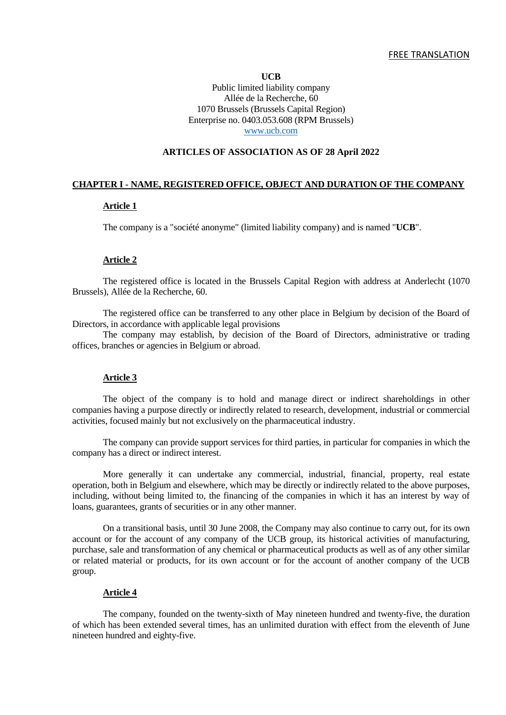**UCB** Public limited liability company Allée de la Recherche, 60 1070 Brussels (Brussels Capital Region) Enterprise no. 0403.053.608 (RPM Brussels) [www.ucb.com](http://www.ucb.com/)

## **ARTICLES OF ASSOCIATION AS OF 28 April 2022**

# **CHAPTER I - NAME, REGISTERED OFFICE, OBJECT AND DURATION OF THE COMPANY**

### **Article 1**

The company is a "société anonyme" (limited liability company) and is named "**UCB**".

#### **Article 2**

The registered office is located in the Brussels Capital Region with address at Anderlecht (1070 Brussels), Allée de la Recherche, 60.

The registered office can be transferred to any other place in Belgium by decision of the Board of Directors, in accordance with applicable legal provisions

The company may establish, by decision of the Board of Directors, administrative or trading offices, branches or agencies in Belgium or abroad.

### **Article 3**

The object of the company is to hold and manage direct or indirect shareholdings in other companies having a purpose directly or indirectly related to research, development, industrial or commercial activities, focused mainly but not exclusively on the pharmaceutical industry.

The company can provide support services for third parties, in particular for companies in which the company has a direct or indirect interest.

More generally it can undertake any commercial, industrial, financial, property, real estate operation, both in Belgium and elsewhere, which may be directly or indirectly related to the above purposes, including, without being limited to, the financing of the companies in which it has an interest by way of loans, guarantees, grants of securities or in any other manner.

On a transitional basis, until 30 June 2008, the Company may also continue to carry out, for its own account or for the account of any company of the UCB group, its historical activities of manufacturing, purchase, sale and transformation of any chemical or pharmaceutical products as well as of any other similar or related material or products, for its own account or for the account of another company of the UCB group.

#### **Article 4**

The company, founded on the twenty-sixth of May nineteen hundred and twenty-five, the duration of which has been extended several times, has an unlimited duration with effect from the eleventh of June nineteen hundred and eighty-five.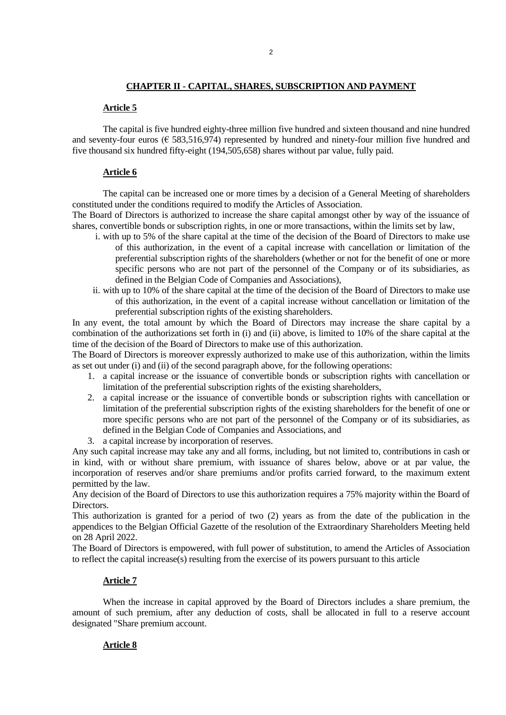## **CHAPTER II - CAPITAL, SHARES, SUBSCRIPTION AND PAYMENT**

### **Article 5**

The capital is five hundred eighty-three million five hundred and sixteen thousand and nine hundred and seventy-four euros ( $\epsilon$  583,516,974) represented by hundred and ninety-four million five hundred and five thousand six hundred fifty-eight (194,505,658) shares without par value, fully paid.

## **Article 6**

The capital can be increased one or more times by a decision of a General Meeting of shareholders constituted under the conditions required to modify the Articles of Association.

The Board of Directors is authorized to increase the share capital amongst other by way of the issuance of shares, convertible bonds or subscription rights, in one or more transactions, within the limits set by law,

- i. with up to 5% of the share capital at the time of the decision of the Board of Directors to make use of this authorization, in the event of a capital increase with cancellation or limitation of the preferential subscription rights of the shareholders (whether or not for the benefit of one or more specific persons who are not part of the personnel of the Company or of its subsidiaries, as defined in the Belgian Code of Companies and Associations),
- ii. with up to 10% of the share capital at the time of the decision of the Board of Directors to make use of this authorization, in the event of a capital increase without cancellation or limitation of the preferential subscription rights of the existing shareholders.

In any event, the total amount by which the Board of Directors may increase the share capital by a combination of the authorizations set forth in (i) and (ii) above, is limited to 10% of the share capital at the time of the decision of the Board of Directors to make use of this authorization.

The Board of Directors is moreover expressly authorized to make use of this authorization, within the limits as set out under (i) and (ii) of the second paragraph above, for the following operations:

- 1. a capital increase or the issuance of convertible bonds or subscription rights with cancellation or limitation of the preferential subscription rights of the existing shareholders,
- 2. a capital increase or the issuance of convertible bonds or subscription rights with cancellation or limitation of the preferential subscription rights of the existing shareholders for the benefit of one or more specific persons who are not part of the personnel of the Company or of its subsidiaries, as defined in the Belgian Code of Companies and Associations, and
- 3. a capital increase by incorporation of reserves.

Any such capital increase may take any and all forms, including, but not limited to, contributions in cash or in kind, with or without share premium, with issuance of shares below, above or at par value, the incorporation of reserves and/or share premiums and/or profits carried forward, to the maximum extent permitted by the law.

Any decision of the Board of Directors to use this authorization requires a 75% majority within the Board of Directors.

This authorization is granted for a period of two (2) years as from the date of the publication in the appendices to the Belgian Official Gazette of the resolution of the Extraordinary Shareholders Meeting held on 28 April 2022.

The Board of Directors is empowered, with full power of substitution, to amend the Articles of Association to reflect the capital increase(s) resulting from the exercise of its powers pursuant to this article

### **Article 7**

When the increase in capital approved by the Board of Directors includes a share premium, the amount of such premium, after any deduction of costs, shall be allocated in full to a reserve account designated "Share premium account.

## **Article 8**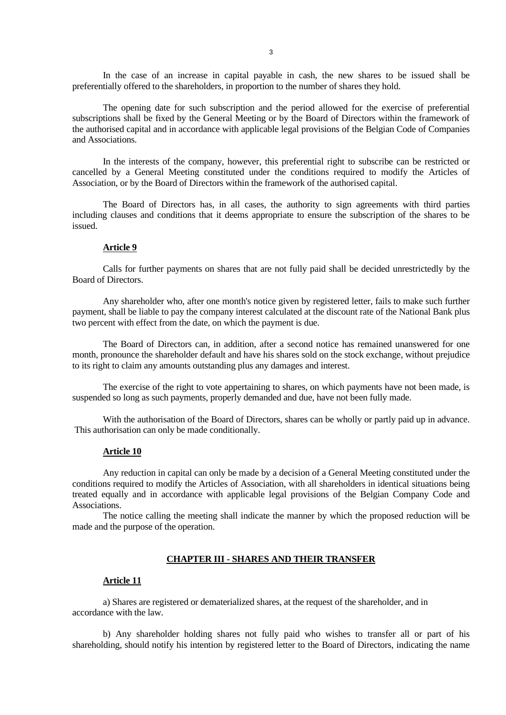In the case of an increase in capital payable in cash, the new shares to be issued shall be preferentially offered to the shareholders, in proportion to the number of shares they hold.

The opening date for such subscription and the period allowed for the exercise of preferential subscriptions shall be fixed by the General Meeting or by the Board of Directors within the framework of the authorised capital and in accordance with applicable legal provisions of the Belgian Code of Companies and Associations.

In the interests of the company, however, this preferential right to subscribe can be restricted or cancelled by a General Meeting constituted under the conditions required to modify the Articles of Association, or by the Board of Directors within the framework of the authorised capital.

The Board of Directors has, in all cases, the authority to sign agreements with third parties including clauses and conditions that it deems appropriate to ensure the subscription of the shares to be issued.

### **Article 9**

Calls for further payments on shares that are not fully paid shall be decided unrestrictedly by the Board of Directors.

Any shareholder who, after one month's notice given by registered letter, fails to make such further payment, shall be liable to pay the company interest calculated at the discount rate of the National Bank plus two percent with effect from the date, on which the payment is due.

The Board of Directors can, in addition, after a second notice has remained unanswered for one month, pronounce the shareholder default and have his shares sold on the stock exchange, without prejudice to its right to claim any amounts outstanding plus any damages and interest.

The exercise of the right to vote appertaining to shares, on which payments have not been made, is suspended so long as such payments, properly demanded and due, have not been fully made.

With the authorisation of the Board of Directors, shares can be wholly or partly paid up in advance. This authorisation can only be made conditionally.

#### **Article 10**

Any reduction in capital can only be made by a decision of a General Meeting constituted under the conditions required to modify the Articles of Association, with all shareholders in identical situations being treated equally and in accordance with applicable legal provisions of the Belgian Company Code and Associations.

The notice calling the meeting shall indicate the manner by which the proposed reduction will be made and the purpose of the operation.

## **CHAPTER III - SHARES AND THEIR TRANSFER**

## **Article 11**

a) Shares are registered or dematerialized shares, at the request of the shareholder, and in accordance with the law.

b) Any shareholder holding shares not fully paid who wishes to transfer all or part of his shareholding, should notify his intention by registered letter to the Board of Directors, indicating the name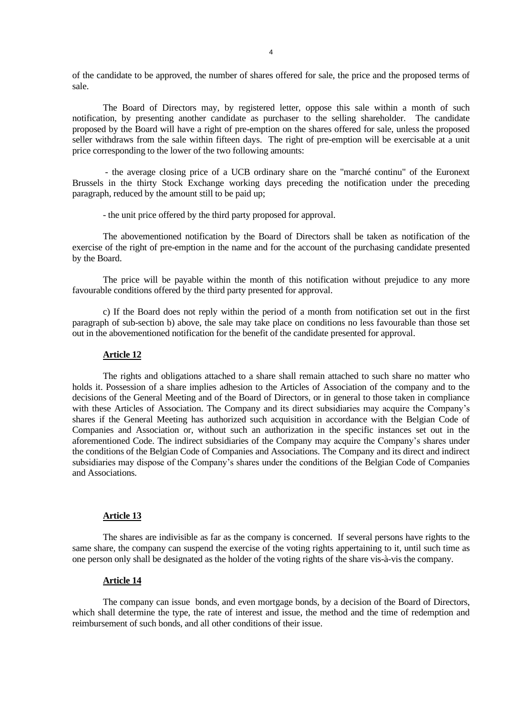of the candidate to be approved, the number of shares offered for sale, the price and the proposed terms of sale.

The Board of Directors may, by registered letter, oppose this sale within a month of such notification, by presenting another candidate as purchaser to the selling shareholder. The candidate proposed by the Board will have a right of pre-emption on the shares offered for sale, unless the proposed seller withdraws from the sale within fifteen days. The right of pre-emption will be exercisable at a unit price corresponding to the lower of the two following amounts:

- the average closing price of a UCB ordinary share on the "marché continu" of the Euronext Brussels in the thirty Stock Exchange working days preceding the notification under the preceding paragraph, reduced by the amount still to be paid up;

- the unit price offered by the third party proposed for approval.

The abovementioned notification by the Board of Directors shall be taken as notification of the exercise of the right of pre-emption in the name and for the account of the purchasing candidate presented by the Board.

The price will be payable within the month of this notification without prejudice to any more favourable conditions offered by the third party presented for approval.

c) If the Board does not reply within the period of a month from notification set out in the first paragraph of sub-section b) above, the sale may take place on conditions no less favourable than those set out in the abovementioned notification for the benefit of the candidate presented for approval.

#### **Article 12**

The rights and obligations attached to a share shall remain attached to such share no matter who holds it. Possession of a share implies adhesion to the Articles of Association of the company and to the decisions of the General Meeting and of the Board of Directors, or in general to those taken in compliance with these Articles of Association. The Company and its direct subsidiaries may acquire the Company's shares if the General Meeting has authorized such acquisition in accordance with the Belgian Code of Companies and Association or, without such an authorization in the specific instances set out in the aforementioned Code. The indirect subsidiaries of the Company may acquire the Company's shares under the conditions of the Belgian Code of Companies and Associations. The Company and its direct and indirect subsidiaries may dispose of the Company's shares under the conditions of the Belgian Code of Companies and Associations.

## **Article 13**

The shares are indivisible as far as the company is concerned. If several persons have rights to the same share, the company can suspend the exercise of the voting rights appertaining to it, until such time as one person only shall be designated as the holder of the voting rights of the share vis-à-vis the company.

## **Article 14**

The company can issue bonds, and even mortgage bonds, by a decision of the Board of Directors, which shall determine the type, the rate of interest and issue, the method and the time of redemption and reimbursement of such bonds, and all other conditions of their issue.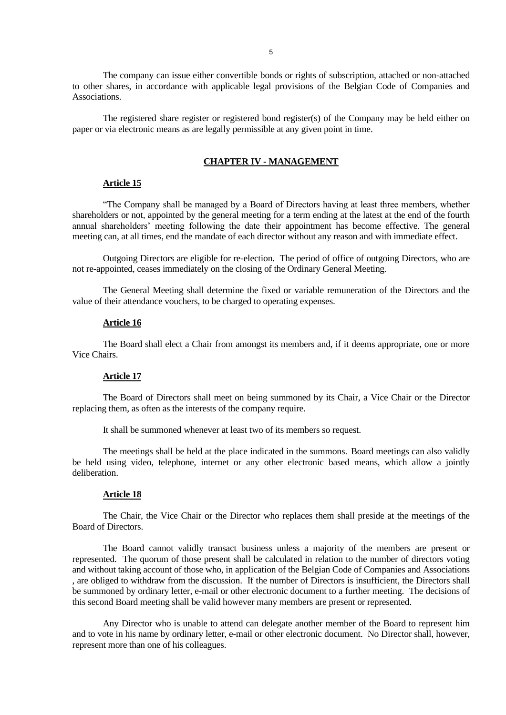The company can issue either convertible bonds or rights of subscription, attached or non-attached to other shares, in accordance with applicable legal provisions of the Belgian Code of Companies and Associations.

The registered share register or registered bond register(s) of the Company may be held either on paper or via electronic means as are legally permissible at any given point in time.

## **CHAPTER IV - MANAGEMENT**

## **Article 15**

"The Company shall be managed by a Board of Directors having at least three members, whether shareholders or not, appointed by the general meeting for a term ending at the latest at the end of the fourth annual shareholders' meeting following the date their appointment has become effective. The general meeting can, at all times, end the mandate of each director without any reason and with immediate effect.

Outgoing Directors are eligible for re-election. The period of office of outgoing Directors, who are not re-appointed, ceases immediately on the closing of the Ordinary General Meeting.

The General Meeting shall determine the fixed or variable remuneration of the Directors and the value of their attendance vouchers, to be charged to operating expenses.

### **Article 16**

The Board shall elect a Chair from amongst its members and, if it deems appropriate, one or more Vice Chairs.

# **Article 17**

The Board of Directors shall meet on being summoned by its Chair, a Vice Chair or the Director replacing them, as often as the interests of the company require.

It shall be summoned whenever at least two of its members so request.

The meetings shall be held at the place indicated in the summons. Board meetings can also validly be held using video, telephone, internet or any other electronic based means, which allow a jointly deliberation.

#### **Article 18**

The Chair, the Vice Chair or the Director who replaces them shall preside at the meetings of the Board of Directors.

The Board cannot validly transact business unless a majority of the members are present or represented. The quorum of those present shall be calculated in relation to the number of directors voting and without taking account of those who, in application of the Belgian Code of Companies and Associations , are obliged to withdraw from the discussion. If the number of Directors is insufficient, the Directors shall be summoned by ordinary letter, e-mail or other electronic document to a further meeting. The decisions of this second Board meeting shall be valid however many members are present or represented.

Any Director who is unable to attend can delegate another member of the Board to represent him and to vote in his name by ordinary letter, e-mail or other electronic document. No Director shall, however, represent more than one of his colleagues.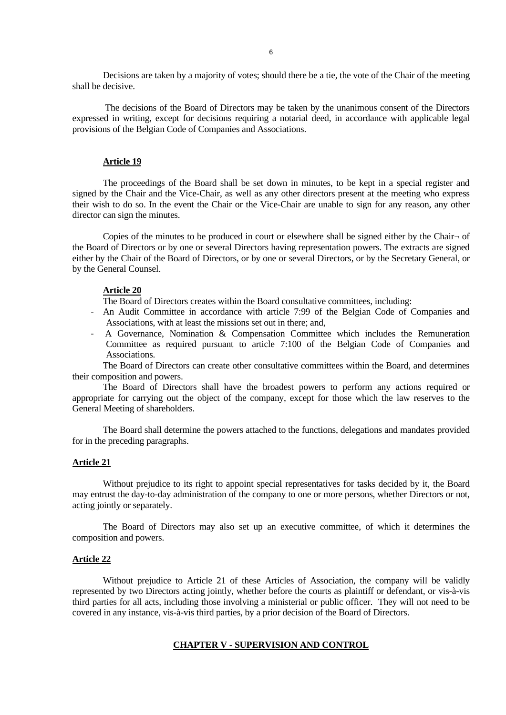Decisions are taken by a majority of votes; should there be a tie, the vote of the Chair of the meeting shall be decisive.

The decisions of the Board of Directors may be taken by the unanimous consent of the Directors expressed in writing, except for decisions requiring a notarial deed, in accordance with applicable legal provisions of the Belgian Code of Companies and Associations.

## **Article 19**

The proceedings of the Board shall be set down in minutes, to be kept in a special register and signed by the Chair and the Vice-Chair, as well as any other directors present at the meeting who express their wish to do so. In the event the Chair or the Vice-Chair are unable to sign for any reason, any other director can sign the minutes.

Copies of the minutes to be produced in court or elsewhere shall be signed either by the Chair¬ of the Board of Directors or by one or several Directors having representation powers. The extracts are signed either by the Chair of the Board of Directors, or by one or several Directors, or by the Secretary General, or by the General Counsel.

### **Article 20**

The Board of Directors creates within the Board consultative committees, including:

- An Audit Committee in accordance with article 7:99 of the Belgian Code of Companies and Associations, with at least the missions set out in there; and,
- A Governance, Nomination & Compensation Committee which includes the Remuneration Committee as required pursuant to article 7:100 of the Belgian Code of Companies and Associations.

The Board of Directors can create other consultative committees within the Board, and determines their composition and powers.

The Board of Directors shall have the broadest powers to perform any actions required or appropriate for carrying out the object of the company, except for those which the law reserves to the General Meeting of shareholders.

The Board shall determine the powers attached to the functions, delegations and mandates provided for in the preceding paragraphs.

## **Article 21**

Without prejudice to its right to appoint special representatives for tasks decided by it, the Board may entrust the day-to-day administration of the company to one or more persons, whether Directors or not, acting jointly or separately.

The Board of Directors may also set up an executive committee, of which it determines the composition and powers.

#### **Article 22**

Without prejudice to Article 21 of these Articles of Association, the company will be validly represented by two Directors acting jointly, whether before the courts as plaintiff or defendant, or vis-à-vis third parties for all acts, including those involving a ministerial or public officer. They will not need to be covered in any instance, vis-à-vis third parties, by a prior decision of the Board of Directors.

# **CHAPTER V - SUPERVISION AND CONTROL**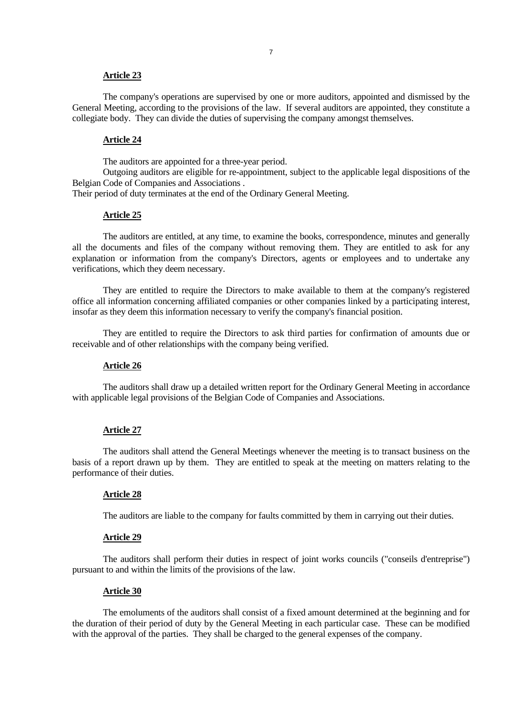#### **Article 23**

The company's operations are supervised by one or more auditors, appointed and dismissed by the General Meeting, according to the provisions of the law. If several auditors are appointed, they constitute a collegiate body. They can divide the duties of supervising the company amongst themselves.

### **Article 24**

The auditors are appointed for a three-year period.

Outgoing auditors are eligible for re-appointment, subject to the applicable legal dispositions of the Belgian Code of Companies and Associations .

Their period of duty terminates at the end of the Ordinary General Meeting.

# **Article 25**

The auditors are entitled, at any time, to examine the books, correspondence, minutes and generally all the documents and files of the company without removing them. They are entitled to ask for any explanation or information from the company's Directors, agents or employees and to undertake any verifications, which they deem necessary.

They are entitled to require the Directors to make available to them at the company's registered office all information concerning affiliated companies or other companies linked by a participating interest, insofar as they deem this information necessary to verify the company's financial position.

They are entitled to require the Directors to ask third parties for confirmation of amounts due or receivable and of other relationships with the company being verified.

# **Article 26**

The auditors shall draw up a detailed written report for the Ordinary General Meeting in accordance with applicable legal provisions of the Belgian Code of Companies and Associations.

## **Article 27**

The auditors shall attend the General Meetings whenever the meeting is to transact business on the basis of a report drawn up by them. They are entitled to speak at the meeting on matters relating to the performance of their duties.

#### **Article 28**

The auditors are liable to the company for faults committed by them in carrying out their duties.

## **Article 29**

The auditors shall perform their duties in respect of joint works councils ("conseils d'entreprise") pursuant to and within the limits of the provisions of the law.

# **Article 30**

The emoluments of the auditors shall consist of a fixed amount determined at the beginning and for the duration of their period of duty by the General Meeting in each particular case. These can be modified with the approval of the parties. They shall be charged to the general expenses of the company.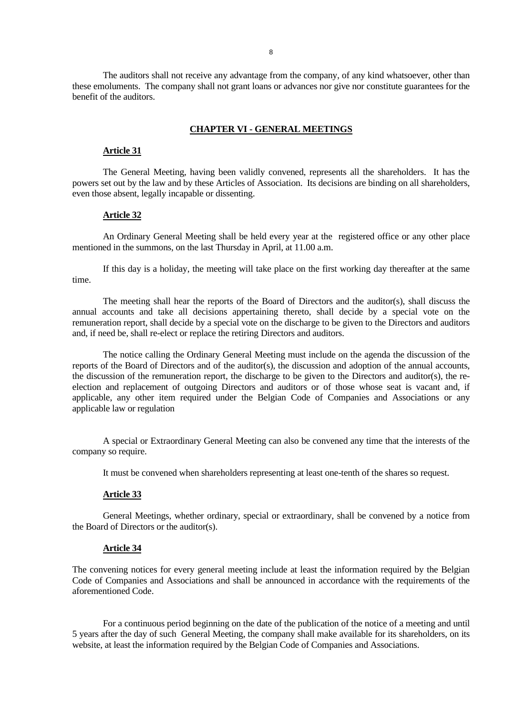The auditors shall not receive any advantage from the company, of any kind whatsoever, other than these emoluments. The company shall not grant loans or advances nor give nor constitute guarantees for the benefit of the auditors.

### **CHAPTER VI - GENERAL MEETINGS**

## **Article 31**

The General Meeting, having been validly convened, represents all the shareholders. It has the powers set out by the law and by these Articles of Association. Its decisions are binding on all shareholders, even those absent, legally incapable or dissenting.

## **Article 32**

An Ordinary General Meeting shall be held every year at the registered office or any other place mentioned in the summons, on the last Thursday in April, at 11.00 a.m.

If this day is a holiday, the meeting will take place on the first working day thereafter at the same time.

The meeting shall hear the reports of the Board of Directors and the auditor(s), shall discuss the annual accounts and take all decisions appertaining thereto, shall decide by a special vote on the remuneration report, shall decide by a special vote on the discharge to be given to the Directors and auditors and, if need be, shall re-elect or replace the retiring Directors and auditors.

The notice calling the Ordinary General Meeting must include on the agenda the discussion of the reports of the Board of Directors and of the auditor(s), the discussion and adoption of the annual accounts, the discussion of the remuneration report, the discharge to be given to the Directors and auditor(s), the reelection and replacement of outgoing Directors and auditors or of those whose seat is vacant and, if applicable, any other item required under the Belgian Code of Companies and Associations or any applicable law or regulation

A special or Extraordinary General Meeting can also be convened any time that the interests of the company so require.

It must be convened when shareholders representing at least one-tenth of the shares so request.

#### **Article 33**

General Meetings, whether ordinary, special or extraordinary, shall be convened by a notice from the Board of Directors or the auditor(s).

#### **Article 34**

The convening notices for every general meeting include at least the information required by the Belgian Code of Companies and Associations and shall be announced in accordance with the requirements of the aforementioned Code.

For a continuous period beginning on the date of the publication of the notice of a meeting and until 5 years after the day of such General Meeting, the company shall make available for its shareholders, on its website, at least the information required by the Belgian Code of Companies and Associations.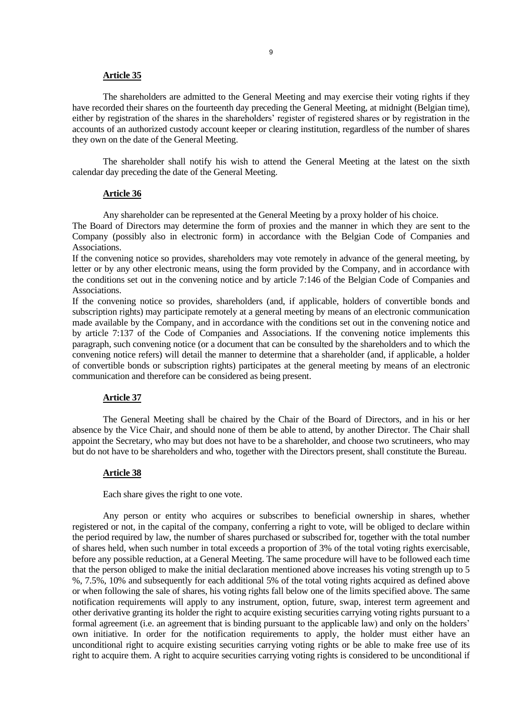#### **Article 35**

The shareholders are admitted to the General Meeting and may exercise their voting rights if they have recorded their shares on the fourteenth day preceding the General Meeting, at midnight (Belgian time), either by registration of the shares in the shareholders' register of registered shares or by registration in the accounts of an authorized custody account keeper or clearing institution, regardless of the number of shares they own on the date of the General Meeting.

The shareholder shall notify his wish to attend the General Meeting at the latest on the sixth calendar day preceding the date of the General Meeting.

### **Article 36**

Any shareholder can be represented at the General Meeting by a proxy holder of his choice.

The Board of Directors may determine the form of proxies and the manner in which they are sent to the Company (possibly also in electronic form) in accordance with the Belgian Code of Companies and Associations.

If the convening notice so provides, shareholders may vote remotely in advance of the general meeting, by letter or by any other electronic means, using the form provided by the Company, and in accordance with the conditions set out in the convening notice and by article 7:146 of the Belgian Code of Companies and Associations.

If the convening notice so provides, shareholders (and, if applicable, holders of convertible bonds and subscription rights) may participate remotely at a general meeting by means of an electronic communication made available by the Company, and in accordance with the conditions set out in the convening notice and by article 7:137 of the Code of Companies and Associations. If the convening notice implements this paragraph, such convening notice (or a document that can be consulted by the shareholders and to which the convening notice refers) will detail the manner to determine that a shareholder (and, if applicable, a holder of convertible bonds or subscription rights) participates at the general meeting by means of an electronic communication and therefore can be considered as being present.

## **Article 37**

The General Meeting shall be chaired by the Chair of the Board of Directors, and in his or her absence by the Vice Chair, and should none of them be able to attend, by another Director. The Chair shall appoint the Secretary, who may but does not have to be a shareholder, and choose two scrutineers, who may but do not have to be shareholders and who, together with the Directors present, shall constitute the Bureau.

#### **Article 38**

Each share gives the right to one vote.

Any person or entity who acquires or subscribes to beneficial ownership in shares, whether registered or not, in the capital of the company, conferring a right to vote, will be obliged to declare within the period required by law, the number of shares purchased or subscribed for, together with the total number of shares held, when such number in total exceeds a proportion of 3% of the total voting rights exercisable, before any possible reduction, at a General Meeting. The same procedure will have to be followed each time that the person obliged to make the initial declaration mentioned above increases his voting strength up to 5 %, 7.5%, 10% and subsequently for each additional 5% of the total voting rights acquired as defined above or when following the sale of shares, his voting rights fall below one of the limits specified above. The same notification requirements will apply to any instrument, option, future, swap, interest term agreement and other derivative granting its holder the right to acquire existing securities carrying voting rights pursuant to a formal agreement (i.e. an agreement that is binding pursuant to the applicable law) and only on the holders' own initiative. In order for the notification requirements to apply, the holder must either have an unconditional right to acquire existing securities carrying voting rights or be able to make free use of its right to acquire them. A right to acquire securities carrying voting rights is considered to be unconditional if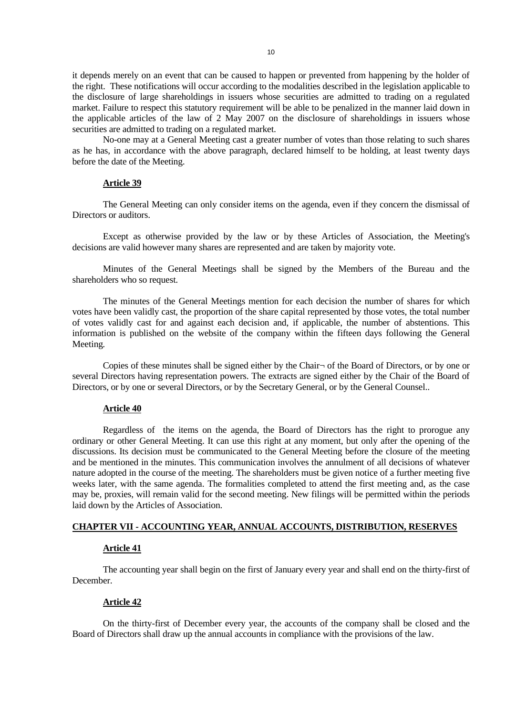it depends merely on an event that can be caused to happen or prevented from happening by the holder of the right. These notifications will occur according to the modalities described in the legislation applicable to the disclosure of large shareholdings in issuers whose securities are admitted to trading on a regulated market. Failure to respect this statutory requirement will be able to be penalized in the manner laid down in the applicable articles of the law of 2 May 2007 on the disclosure of shareholdings in issuers whose securities are admitted to trading on a regulated market.

No-one may at a General Meeting cast a greater number of votes than those relating to such shares as he has, in accordance with the above paragraph, declared himself to be holding, at least twenty days before the date of the Meeting.

# **Article 39**

The General Meeting can only consider items on the agenda, even if they concern the dismissal of Directors or auditors.

Except as otherwise provided by the law or by these Articles of Association, the Meeting's decisions are valid however many shares are represented and are taken by majority vote.

Minutes of the General Meetings shall be signed by the Members of the Bureau and the shareholders who so request.

The minutes of the General Meetings mention for each decision the number of shares for which votes have been validly cast, the proportion of the share capital represented by those votes, the total number of votes validly cast for and against each decision and, if applicable, the number of abstentions. This information is published on the website of the company within the fifteen days following the General Meeting*.* 

Copies of these minutes shall be signed either by the Chair¬ of the Board of Directors, or by one or several Directors having representation powers. The extracts are signed either by the Chair of the Board of Directors, or by one or several Directors, or by the Secretary General, or by the General Counsel..

## **Article 40**

Regardless of the items on the agenda, the Board of Directors has the right to prorogue any ordinary or other General Meeting. It can use this right at any moment, but only after the opening of the discussions. Its decision must be communicated to the General Meeting before the closure of the meeting and be mentioned in the minutes. This communication involves the annulment of all decisions of whatever nature adopted in the course of the meeting. The shareholders must be given notice of a further meeting five weeks later, with the same agenda. The formalities completed to attend the first meeting and, as the case may be, proxies, will remain valid for the second meeting. New filings will be permitted within the periods laid down by the Articles of Association.

# **CHAPTER VII - ACCOUNTING YEAR, ANNUAL ACCOUNTS, DISTRIBUTION, RESERVES**

### **Article 41**

The accounting year shall begin on the first of January every year and shall end on the thirty-first of December.

### **Article 42**

On the thirty-first of December every year, the accounts of the company shall be closed and the Board of Directors shall draw up the annual accounts in compliance with the provisions of the law.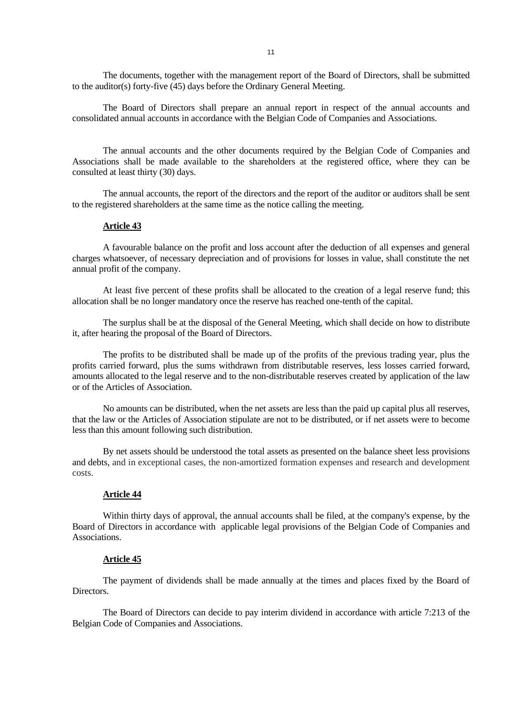The documents, together with the management report of the Board of Directors, shall be submitted to the auditor(s) forty-five (45) days before the Ordinary General Meeting.

The Board of Directors shall prepare an annual report in respect of the annual accounts and consolidated annual accounts in accordance with the Belgian Code of Companies and Associations.

The annual accounts and the other documents required by the Belgian Code of Companies and Associations shall be made available to the shareholders at the registered office, where they can be consulted at least thirty (30) days.

The annual accounts, the report of the directors and the report of the auditor or auditors shall be sent to the registered shareholders at the same time as the notice calling the meeting.

#### **Article 43**

A favourable balance on the profit and loss account after the deduction of all expenses and general charges whatsoever, of necessary depreciation and of provisions for losses in value, shall constitute the net annual profit of the company.

At least five percent of these profits shall be allocated to the creation of a legal reserve fund; this allocation shall be no longer mandatory once the reserve has reached one-tenth of the capital.

The surplus shall be at the disposal of the General Meeting, which shall decide on how to distribute it, after hearing the proposal of the Board of Directors.

The profits to be distributed shall be made up of the profits of the previous trading year, plus the profits carried forward, plus the sums withdrawn from distributable reserves, less losses carried forward, amounts allocated to the legal reserve and to the non-distributable reserves created by application of the law or of the Articles of Association.

No amounts can be distributed, when the net assets are less than the paid up capital plus all reserves, that the law or the Articles of Association stipulate are not to be distributed, or if net assets were to become less than this amount following such distribution.

By net assets should be understood the total assets as presented on the balance sheet less provisions and debts, and in exceptional cases, the non-amortized formation expenses and research and development costs.

#### **Article 44**

Within thirty days of approval, the annual accounts shall be filed, at the company's expense, by the Board of Directors in accordance with applicable legal provisions of the Belgian Code of Companies and Associations.

### **Article 45**

The payment of dividends shall be made annually at the times and places fixed by the Board of Directors.

The Board of Directors can decide to pay interim dividend in accordance with article 7:213 of the Belgian Code of Companies and Associations.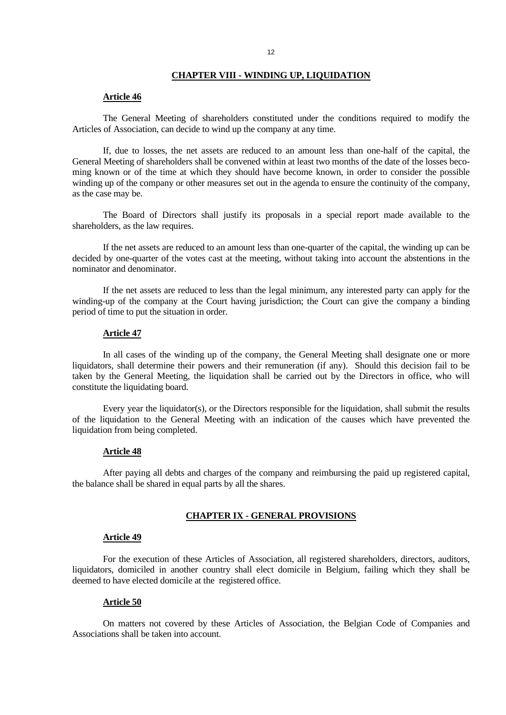### **CHAPTER VIII - WINDING UP, LIQUIDATION**

## **Article 46**

The General Meeting of shareholders constituted under the conditions required to modify the Articles of Association, can decide to wind up the company at any time.

If, due to losses, the net assets are reduced to an amount less than one-half of the capital, the General Meeting of shareholders shall be convened within at least two months of the date of the losses becoming known or of the time at which they should have become known, in order to consider the possible winding up of the company or other measures set out in the agenda to ensure the continuity of the company, as the case may be.

The Board of Directors shall justify its proposals in a special report made available to the shareholders, as the law requires.

If the net assets are reduced to an amount less than one-quarter of the capital, the winding up can be decided by one-quarter of the votes cast at the meeting, without taking into account the abstentions in the nominator and denominator.

If the net assets are reduced to less than the legal minimum, any interested party can apply for the winding-up of the company at the Court having jurisdiction; the Court can give the company a binding period of time to put the situation in order.

## **Article 47**

In all cases of the winding up of the company, the General Meeting shall designate one or more liquidators, shall determine their powers and their remuneration (if any). Should this decision fail to be taken by the General Meeting, the liquidation shall be carried out by the Directors in office, who will constitute the liquidating board.

Every year the liquidator(s), or the Directors responsible for the liquidation, shall submit the results of the liquidation to the General Meeting with an indication of the causes which have prevented the liquidation from being completed.

#### **Article 48**

After paying all debts and charges of the company and reimbursing the paid up registered capital, the balance shall be shared in equal parts by all the shares.

### **CHAPTER IX - GENERAL PROVISIONS**

### **Article 49**

For the execution of these Articles of Association, all registered shareholders, directors, auditors, liquidators, domiciled in another country shall elect domicile in Belgium, failing which they shall be deemed to have elected domicile at the registered office.

### **Article 50**

On matters not covered by these Articles of Association, the Belgian Code of Companies and Associations shall be taken into account.